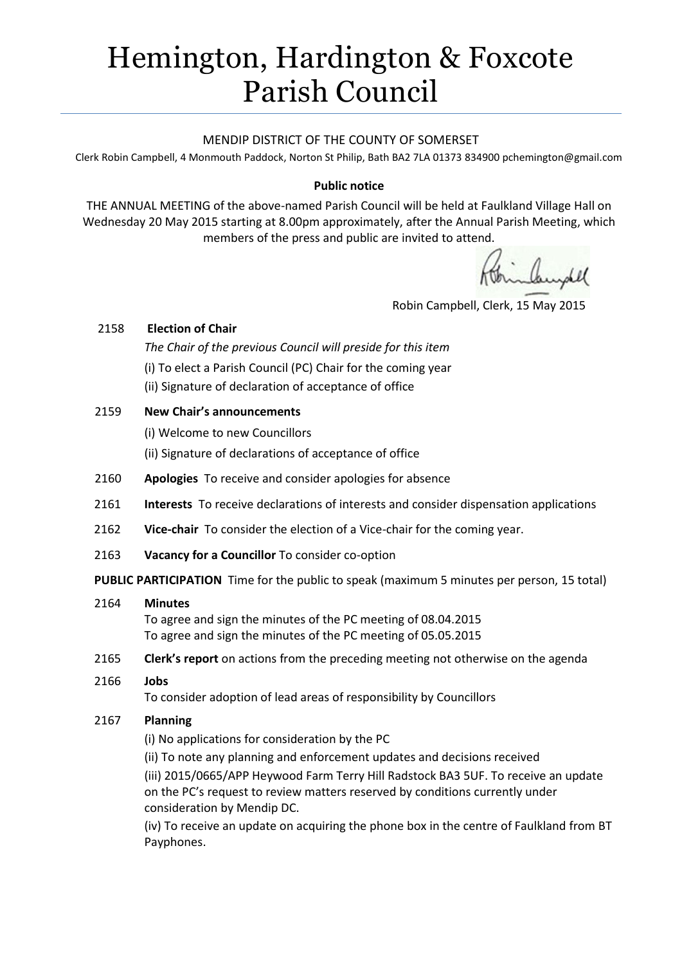# Hemington, Hardington & Foxcote Parish Council

#### MENDIP DISTRICT OF THE COUNTY OF SOMERSET

Clerk Robin Campbell, 4 Monmouth Paddock, Norton St Philip, Bath BA2 7LA 01373 83490[0 pchemington@gmail.com](mailto:pchemington@gmail.com)

#### **Public notice**

THE ANNUAL MEETING of the above-named Parish Council will be held at Faulkland Village Hall on Wednesday 20 May 2015 starting at 8.00pm approximately, after the Annual Parish Meeting, which members of the press and public are invited to attend.

Robin Campbell, Clerk, 15 May 2015

#### 2158 **Election of Chair**

*The Chair of the previous Council will preside for this item* (i) To elect a Parish Council (PC) Chair for the coming year (ii) Signature of declaration of acceptance of office

### 2159 **New Chair's announcements**

(i) Welcome to new Councillors

(ii) Signature of declarations of acceptance of office

- 2160 **Apologies** To receive and consider apologies for absence
- 2161 **Interests** To receive declarations of interests and consider dispensation applications
- 2162 **Vice-chair** To consider the election of a Vice-chair for the coming year.
- 2163 **Vacancy for a Councillor** To consider co-option

**PUBLIC PARTICIPATION** Time for the public to speak (maximum 5 minutes per person, 15 total)

#### 2164 **Minutes**

To agree and sign the minutes of the PC meeting of 08.04.2015 To agree and sign the minutes of the PC meeting of 05.05.2015

- 2165 **Clerk's report** on actions from the preceding meeting not otherwise on the agenda
- 2166 **Jobs**

To consider adoption of lead areas of responsibility by Councillors

#### 2167 **Planning**

(i) No applications for consideration by the PC

(ii) To note any planning and enforcement updates and decisions received

(iii) 2015/0665/APP Heywood Farm Terry Hill Radstock BA3 5UF. To receive an update on the PC's request to review matters reserved by conditions currently under consideration by Mendip DC.

(iv) To receive an update on acquiring the phone box in the centre of Faulkland from BT Payphones.